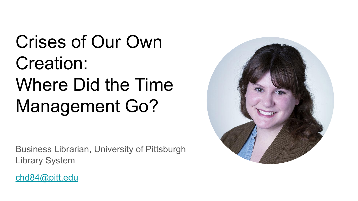Crises of Our Own Creation: Where Did the Time Management Go?

Business Librarian, University of Pittsburgh Library System



[chd84@pitt.edu](mailto:chd84@pitt.edu)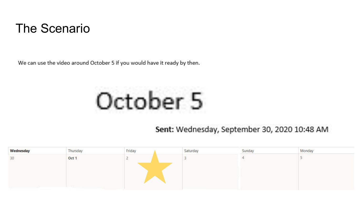#### The Scenario

We can use the video around October 5 if you would have it ready by then.

# October 5

Sent: Wednesday, September 30, 2020 10:48 AM

| Wednesday       | Thursday | Friday | Saturday | Sunday | Monday |
|-----------------|----------|--------|----------|--------|--------|
| 30 <sup>°</sup> | Oct 1    |        |          |        |        |
|                 |          |        |          |        |        |
|                 |          |        |          |        |        |
|                 |          |        |          |        |        |
|                 |          |        |          |        |        |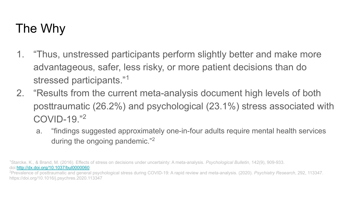## The Why

- 1. "Thus, unstressed participants perform slightly better and make more advantageous, safer, less risky, or more patient decisions than do stressed participants."<sup>1</sup>
- 2. "Results from the current meta-analysis document high levels of both posttraumatic (26.2%) and psychological (23.1%) stress associated with COVID-19."<sup>2</sup>
	- a. "findings suggested approximately one-in-four adults require mental health services during the ongoing pandemic."<sup>2</sup>

1Starcke, K., & Brand, M. (2016). Effects of stress on decisions under uncertainty: A meta-analysis. *Psychological Bulletin*, 142(9), 909-933. doi[:http://dx.doi.org/10.1037/bul0000060](http://dx.doi.org.pitt.idm.oclc.org/10.1037/bul0000060)

2Prevalence of posttraumatic and general psychological stress during COVID-19: A rapid review and meta-analysis. (2020). *Psychiatry Research*, 292, 113347. https://doi.org/10.1016/j.psychres.2020.113347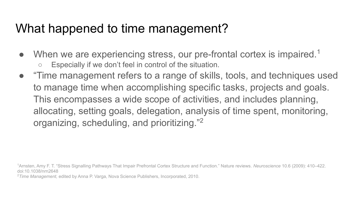### What happened to time management?

- When we are experiencing stress, our pre-frontal cortex is impaired.<sup>1</sup> ○ Especially if we don't feel in control of the situation.
- "Time management refers to a range of skills, tools, and techniques used to manage time when accomplishing specific tasks, projects and goals. This encompasses a wide scope of activities, and includes planning, allocating, setting goals, delegation, analysis of time spent, monitoring, organizing, scheduling, and prioritizing."<sup>2</sup>

1Arnsten, Amy F. T. "Stress Signalling Pathways That Impair Prefrontal Cortex Structure and Function." Nature reviews. *Neuroscience* 10.6 (2009): 410–422. doi:10.1038/nrn2648

<sup>2</sup>*Time Management,* edited by Anna P. Varga, Nova Science Publishers, Incorporated, 2010.